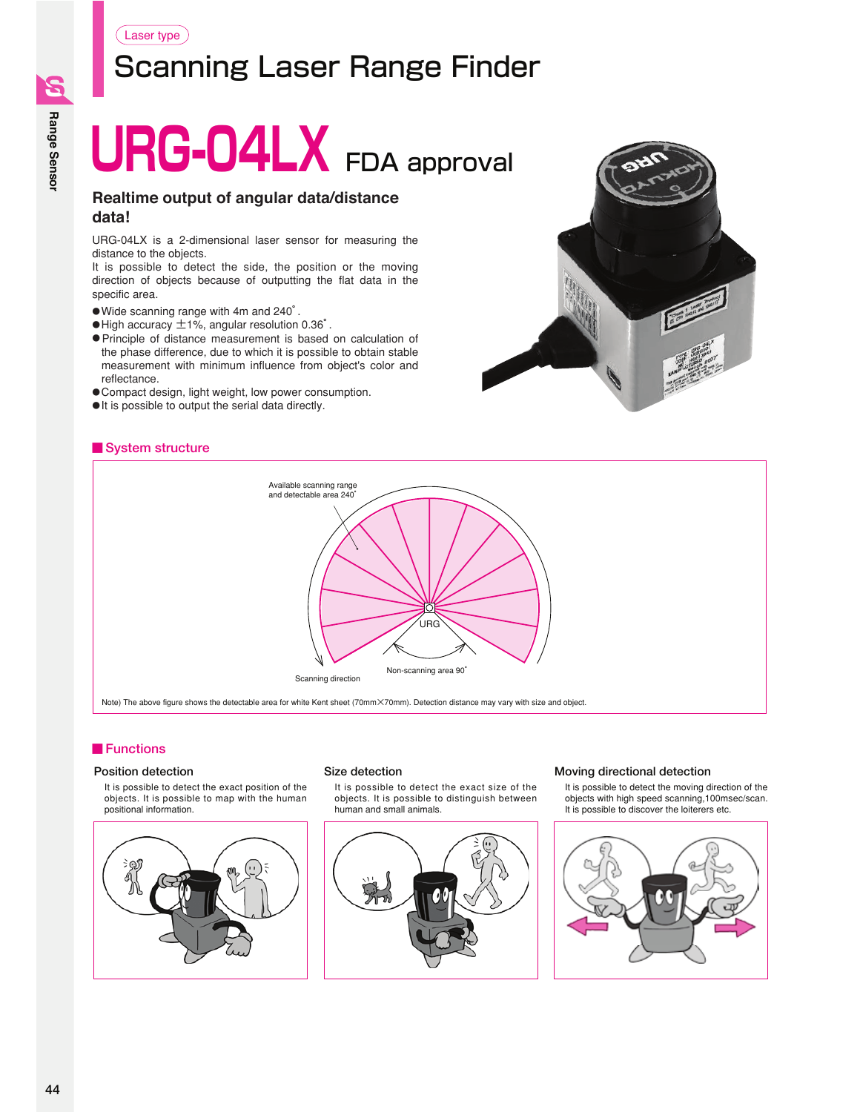# Scanning Laser Range Finder Laser type

# **URG-04LX** FDA approval

# **Realtime output of angular data/distance data!**

URG-04LX is a 2-dimensional laser sensor for measuring the distance to the objects.

It is possible to detect the side, the position or the moving direction of objects because of outputting the flat data in the specific area.

- ●Wide scanning range with 4m and 240°.
- $\bullet$  High accuracy  $\pm$ 1%, angular resolution 0.36°.
- Principle of distance measurement is based on calculation of the phase difference, due to which it is possible to obtain stable measurement with minimum influence from object's color and reflectance.
- Compact design, light weight, low power consumption.
- ●It is possible to output the serial data directly.



# **■ System structure**



# **■ Functions**

#### **Position detection**

It is possible to detect the exact position of the objects. It is possible to map with the human positional information.



#### **Size detection**

It is possible to detect the exact size of the objects. It is possible to distinguish between human and small animals.



#### **Moving directional detection**

It is possible to detect the moving direction of the objects with high speed scanning,100msec/scan. It is possible to discover the loiterers etc.

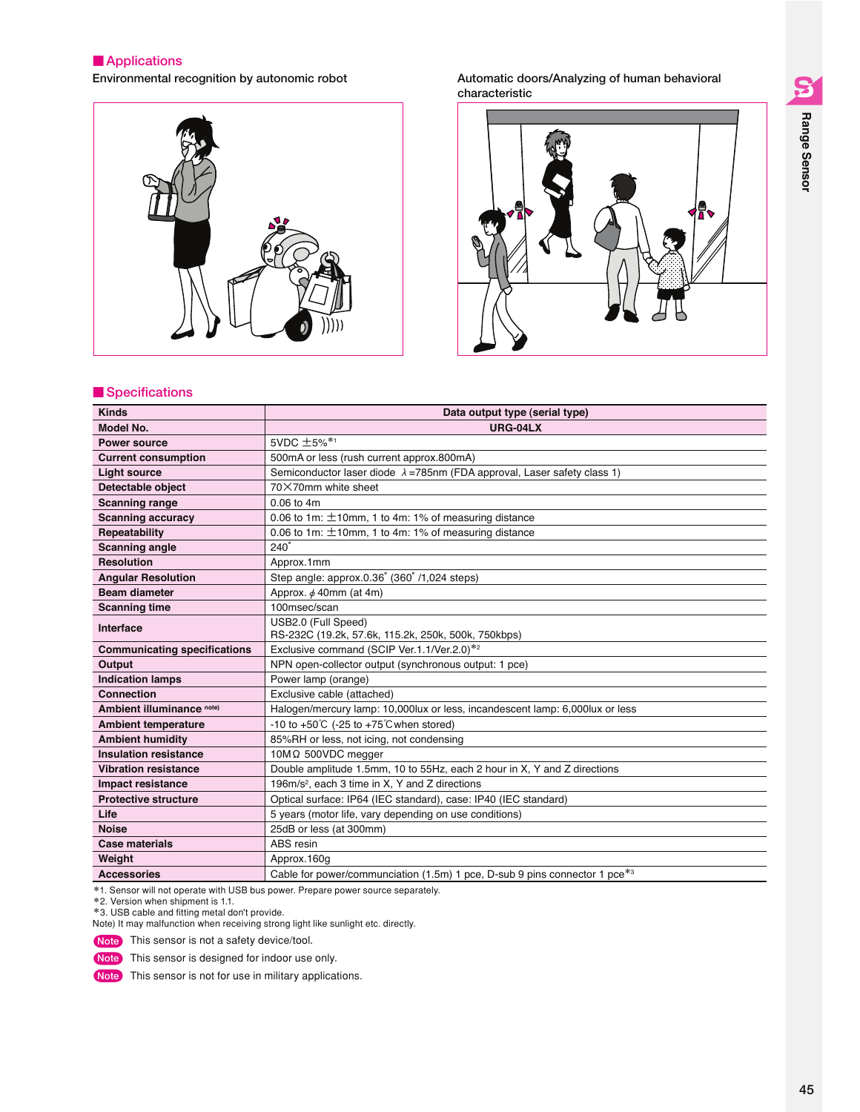**■ Applications**



**Environmental recognition by autonomic robot Automatic doors/Analyzing of human behavioral characteristic**



#### **■ Specifications**

| <b>Kinds</b>                        | Data output type (serial type)                                                         |  |
|-------------------------------------|----------------------------------------------------------------------------------------|--|
| Model No.                           | URG-04LX                                                                               |  |
| <b>Power source</b>                 | 5VDC ±5%*1                                                                             |  |
| <b>Current consumption</b>          | 500mA or less (rush current approx.800mA)                                              |  |
| <b>Light source</b>                 | Semiconductor laser diode $\lambda$ =785nm (FDA approval, Laser safety class 1)        |  |
| Detectable object                   | 70 X70mm white sheet                                                                   |  |
| <b>Scanning range</b>               | 0.06 to 4m                                                                             |  |
| <b>Scanning accuracy</b>            | 0.06 to 1m: $\pm$ 10mm, 1 to 4m: 1% of measuring distance                              |  |
| Repeatability                       | 0.06 to 1m: $\pm$ 10mm, 1 to 4m: 1% of measuring distance                              |  |
| <b>Scanning angle</b>               | $240^\circ$                                                                            |  |
| <b>Resolution</b>                   | Approx.1mm                                                                             |  |
| <b>Angular Resolution</b>           | Step angle: approx.0.36° (360°/1.024 steps)                                            |  |
| <b>Beam diameter</b>                | Approx. $\phi$ 40mm (at 4m)                                                            |  |
| <b>Scanning time</b>                | 100msec/scan                                                                           |  |
| Interface                           | USB2.0 (Full Speed)<br>RS-232C (19.2k, 57.6k, 115.2k, 250k, 500k, 750kbps)             |  |
| <b>Communicating specifications</b> | Exclusive command (SCIP Ver.1.1/Ver.2.0)*2                                             |  |
| Output                              | NPN open-collector output (synchronous output: 1 pce)                                  |  |
| <b>Indication lamps</b>             | Power lamp (orange)                                                                    |  |
| <b>Connection</b>                   | Exclusive cable (attached)                                                             |  |
| Ambient illuminance note)           | Halogen/mercury lamp: 10,000lux or less, incandescent lamp: 6,000lux or less           |  |
| <b>Ambient temperature</b>          | -10 to +50 $\degree$ C (-25 to +75 $\degree$ C when stored)                            |  |
| <b>Ambient humidity</b>             | 85%RH or less, not icing, not condensing                                               |  |
| <b>Insulation resistance</b>        | 10MΩ 500VDC megger                                                                     |  |
| <b>Vibration resistance</b>         | Double amplitude 1.5mm, 10 to 55Hz, each 2 hour in X, Y and Z directions               |  |
| Impact resistance                   | 196m/s <sup>2</sup> , each 3 time in X, Y and Z directions                             |  |
| <b>Protective structure</b>         | Optical surface: IP64 (IEC standard), case: IP40 (IEC standard)                        |  |
| Life                                | 5 years (motor life, vary depending on use conditions)                                 |  |
| <b>Noise</b>                        | 25dB or less (at 300mm)                                                                |  |
| <b>Case materials</b>               | ABS resin                                                                              |  |
| Weight                              | Approx.160g                                                                            |  |
| <b>Accessories</b>                  | Cable for power/communciation (1.5m) 1 pce, D-sub 9 pins connector 1 pce <sup>*3</sup> |  |

\*1. Sensor will not operate with USB bus power. Prepare power source separately. \*2. Version when shipment is 1.1.

\*3. USB cable and fitting metal don't provide. Note) It may malfunction when receiving strong light like sunlight etc. directly.

**Note** This sensor is not a safety device/tool.



This sensor is designed for indoor use only.

**Note** This sensor is not for use in military applications.